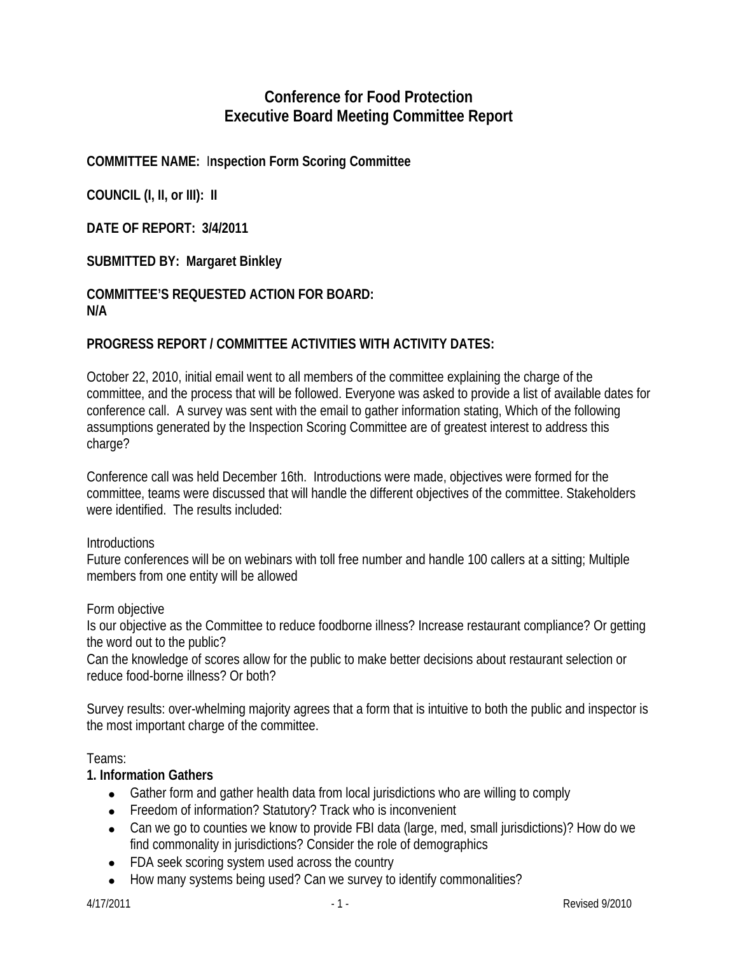# **Conference for Food Protection Executive Board Meeting Committee Report**

# **COMMITTEE NAME:** I**nspection Form Scoring Committee**

**COUNCIL (I, II, or III): II** 

**DATE OF REPORT: 3/4/2011** 

### **SUBMITTED BY: Margaret Binkley**

### **COMMITTEE'S REQUESTED ACTION FOR BOARD: N/A**

### **PROGRESS REPORT / COMMITTEE ACTIVITIES WITH ACTIVITY DATES:**

October 22, 2010, initial email went to all members of the committee explaining the charge of the committee, and the process that will be followed. Everyone was asked to provide a list of available dates for conference call. A survey was sent with the email to gather information stating, Which of the following assumptions generated by the Inspection Scoring Committee are of greatest interest to address this charge?

Conference call was held December 16th. Introductions were made, objectives were formed for the committee, teams were discussed that will handle the different objectives of the committee. Stakeholders were identified. The results included:

#### **Introductions**

Future conferences will be on webinars with toll free number and handle 100 callers at a sitting; Multiple members from one entity will be allowed

#### Form objective

Is our objective as the Committee to reduce foodborne illness? Increase restaurant compliance? Or getting the word out to the public?

Can the knowledge of scores allow for the public to make better decisions about restaurant selection or reduce food-borne illness? Or both?

Survey results: over-whelming majority agrees that a form that is intuitive to both the public and inspector is the most important charge of the committee.

#### Teams:

#### **1. Information Gathers**

- Gather form and gather health data from local jurisdictions who are willing to comply
- Freedom of information? Statutory? Track who is inconvenient
- Can we go to counties we know to provide FBI data (large, med, small jurisdictions)? How do we find commonality in jurisdictions? Consider the role of demographics
- FDA seek scoring system used across the country
- How many systems being used? Can we survey to identify commonalities?